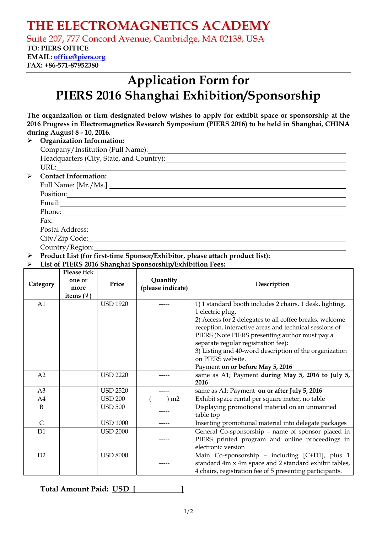## **THE ELECTROMAGNETICS ACADEMY**

Suite 207, 777 Concord Avenue, Cambridge, MA 02138, USA

### **TO: PIERS OFFICE**

**EMAIL: office@piers.org FAX: +86-571-87952380** 

# **Application Form for PIERS 2016 Shanghai Exhibition/Sponsorship**

**The organization or firm designated below wishes to apply for exhibit space or sponsorship at the 2016 Progress in Electromagnetics Research Symposium (PIERS 2016) to be held in Shanghai, CHINA during August 8 - 10, 2016.**

|                       | <b>Organization Information:</b>                                                                                                                                                                                               |
|-----------------------|--------------------------------------------------------------------------------------------------------------------------------------------------------------------------------------------------------------------------------|
|                       | Company/Institution (Full Name): 1997                                                                                                                                                                                          |
|                       | Headquarters (City, State, and Country): Manual Assembly of the Manual Assembly of the Manual Assembly of the Manual Assembly of the Manual Assembly of the Manual Assembly of the Manual Assembly of the Manual Assembly of t |
|                       |                                                                                                                                                                                                                                |
| $\blacktriangleright$ | <b>Contact Information:</b>                                                                                                                                                                                                    |
|                       | Full Name: [Mr./Ms.]                                                                                                                                                                                                           |
|                       | Position:                                                                                                                                                                                                                      |
|                       |                                                                                                                                                                                                                                |
|                       |                                                                                                                                                                                                                                |
|                       | Fax: $\frac{1}{\sqrt{1-\frac{1}{2}}\sqrt{1-\frac{1}{2}}\sqrt{1-\frac{1}{2}}\sqrt{1-\frac{1}{2}}\sqrt{1-\frac{1}{2}}$                                                                                                           |
|                       | Postal Address:                                                                                                                                                                                                                |
|                       | City/Zip Code:                                                                                                                                                                                                                 |

Country/Region:

¾ **Product List (for first-time Sponsor/Exhibitor, please attach product list):**

#### ¾ **List of PIERS 2016 Shanghai Sponsorship/Exhibition Fees:**

| Category       | Please tick<br>one or<br>more<br>items $(\forall)$ | Price           | Quantity<br>(please indicate) | Description                                              |
|----------------|----------------------------------------------------|-----------------|-------------------------------|----------------------------------------------------------|
| A1             |                                                    | <b>USD 1920</b> |                               | 1) 1 standard booth includes 2 chairs, 1 desk, lighting, |
|                |                                                    |                 |                               | 1 electric plug.                                         |
|                |                                                    |                 |                               | 2) Access for 2 delegates to all coffee breaks, welcome  |
|                |                                                    |                 |                               | reception, interactive areas and technical sessions of   |
|                |                                                    |                 |                               | PIERS (Note PIERS presenting author must pay a           |
|                |                                                    |                 |                               | separate regular registration fee);                      |
|                |                                                    |                 |                               | 3) Listing and 40-word description of the organization   |
|                |                                                    |                 |                               | on PIERS website.                                        |
|                |                                                    |                 |                               | Payment on or before May 5, 2016                         |
| A2             |                                                    | <b>USD 2220</b> |                               | same as A1; Payment during May 5, 2016 to July 5,        |
|                |                                                    |                 |                               | 2016                                                     |
| A <sub>3</sub> |                                                    | <b>USD 2520</b> |                               | same as A1; Payment on or after July 5, 2016             |
| A4             |                                                    | <b>USD 200</b>  | m <sub>2</sub>                | Exhibit space rental per square meter, no table          |
| B              |                                                    | <b>USD 500</b>  |                               | Displaying promotional material on an unmanned           |
|                |                                                    |                 |                               | table top                                                |
| $\mathsf{C}$   |                                                    | <b>USD 1000</b> | -----                         | Inserting promotional material into delegate packages    |
| D <sub>1</sub> |                                                    | <b>USD 2000</b> |                               | General Co-sponsorship - name of sponsor placed in       |
|                |                                                    |                 |                               | PIERS printed program and online proceedings in          |
|                |                                                    |                 |                               | electronic version                                       |
| D2             |                                                    | <b>USD 8000</b> |                               | Main Co-sponsorship - including [C+D1], plus 1           |
|                |                                                    |                 |                               | standard 4m x 4m space and 2 standard exhibit tables,    |
|                |                                                    |                 |                               | 4 chairs, registration fee of 5 presenting participants. |

**Total Amount Paid: USD [ ]**